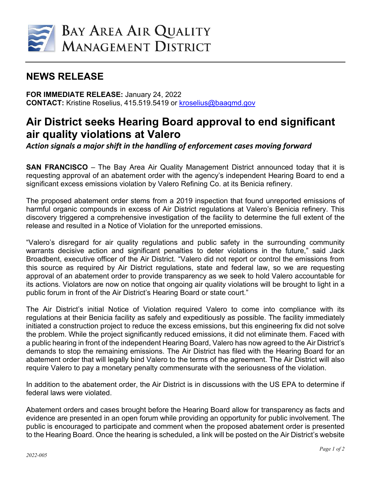

## **NEWS RELEASE**

**FOR IMMEDIATE RELEASE:** January 24, 2022 **CONTACT:** Kristine Roselius, 415.519.5419 or [kroselius@baaqmd.gov](mailto:kroselius@baaqmd.gov)

## **Air District seeks Hearing Board approval to end significant air quality violations at Valero**

*Action signals a major shift in the handling of enforcement cases moving forward* 

**SAN FRANCISCO** – The Bay Area Air Quality Management District announced today that it is requesting approval of an abatement order with the agency's independent Hearing Board to end a significant excess emissions violation by Valero Refining Co. at its Benicia refinery.

The proposed abatement order stems from a 2019 inspection that found unreported emissions of harmful organic compounds in excess of Air District regulations at Valero's Benicia refinery. This discovery triggered a comprehensive investigation of the facility to determine the full extent of the release and resulted in a Notice of Violation for the unreported emissions.

"Valero's disregard for air quality regulations and public safety in the surrounding community warrants decisive action and significant penalties to deter violations in the future," said Jack Broadbent, executive officer of the Air District. "Valero did not report or control the emissions from this source as required by Air District regulations, state and federal law, so we are requesting approval of an abatement order to provide transparency as we seek to hold Valero accountable for its actions. Violators are now on notice that ongoing air quality violations will be brought to light in a public forum in front of the Air District's Hearing Board or state court."

The Air District's initial Notice of Violation required Valero to come into compliance with its regulations at their Benicia facility as safely and expeditiously as possible. The facility immediately initiated a construction project to reduce the excess emissions, but this engineering fix did not solve the problem. While the project significantly reduced emissions, it did not eliminate them. Faced with a public hearing in front of the independent Hearing Board, Valero has now agreed to the Air District's demands to stop the remaining emissions. The Air District has filed with the Hearing Board for an abatement order that will legally bind Valero to the terms of the agreement. The Air District will also require Valero to pay a monetary penalty commensurate with the seriousness of the violation.

In addition to the abatement order, the Air District is in discussions with the US EPA to determine if federal laws were violated.

Abatement orders and cases brought before the Hearing Board allow for transparency as facts and evidence are presented in an open forum while providing an opportunity for public involvement. The public is encouraged to participate and comment when the proposed abatement order is presented to the Hearing Board. Once the hearing is scheduled, a link will be posted on the Air District's website